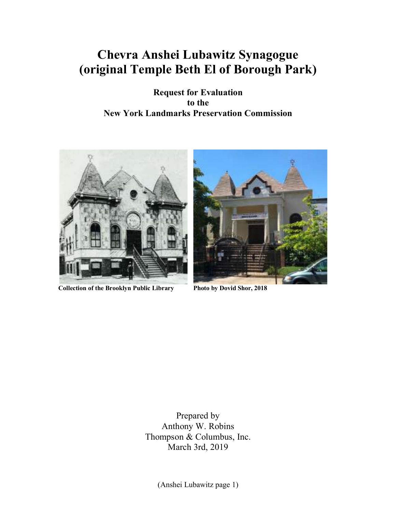# **Chevra Anshei Lubawitz Synagogue (original Temple Beth El of Borough Park)**

**Request for Evaluation to the New York Landmarks Preservation Commission** 



**Collection of the Brooklyn Public Library Photo by Dovid Shor, 2018** 



Prepared by Anthony W. Robins Thompson & Columbus, Inc. March 3rd, 2019

(Anshei Lubawitz page 1)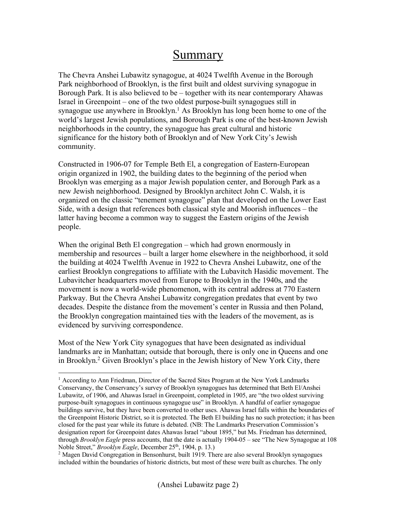## Summary

The Chevra Anshei Lubawitz synagogue, at 4024 Twelfth Avenue in the Borough Park neighborhood of Brooklyn, is the first built and oldest surviving synagogue in Borough Park. It is also believed to be – together with its near contemporary Ahawas Israel in Greenpoint – one of the two oldest purpose-built synagogues still in synagogue use anywhere in Brooklyn.<sup>1</sup> As Brooklyn has long been home to one of the world's largest Jewish populations, and Borough Park is one of the best-known Jewish neighborhoods in the country, the synagogue has great cultural and historic significance for the history both of Brooklyn and of New York City's Jewish community.

Constructed in 1906-07 for Temple Beth El, a congregation of Eastern-European origin organized in 1902, the building dates to the beginning of the period when Brooklyn was emerging as a major Jewish population center, and Borough Park as a new Jewish neighborhood. Designed by Brooklyn architect John C. Walsh, it is organized on the classic "tenement synagogue" plan that developed on the Lower East Side, with a design that references both classical style and Moorish influences – the latter having become a common way to suggest the Eastern origins of the Jewish people.

When the original Beth El congregation – which had grown enormously in membership and resources – built a larger home elsewhere in the neighborhood, it sold the building at 4024 Twelfth Avenue in 1922 to Chevra Anshei Lubawitz, one of the earliest Brooklyn congregations to affiliate with the Lubavitch Hasidic movement. The Lubavitcher headquarters moved from Europe to Brooklyn in the 1940s, and the movement is now a world-wide phenomenon, with its central address at 770 Eastern Parkway. But the Chevra Anshei Lubawitz congregation predates that event by two decades. Despite the distance from the movement's center in Russia and then Poland, the Brooklyn congregation maintained ties with the leaders of the movement, as is evidenced by surviving correspondence.

Most of the New York City synagogues that have been designated as individual landmarks are in Manhattan; outside that borough, there is only one in Queens and one in Brooklyn.<sup>2</sup> Given Brooklyn's place in the Jewish history of New York City, there

<u>.</u>

<sup>&</sup>lt;sup>1</sup> According to Ann Friedman, Director of the Sacred Sites Program at the New York Landmarks Conservancy, the Conservancy's survey of Brooklyn synagogues has determined that Beth El/Anshei Lubawitz, of 1906, and Ahawas Israel in Greenpoint, completed in 1905, are "the two oldest surviving purpose-built synagogues in continuous synagogue use" in Brooklyn. A handful of earlier synagogue buildings survive, but they have been converted to other uses. Ahawas Israel falls within the boundaries of the Greenpoint Historic District, so it is protected. The Beth El building has no such protection; it has been closed for the past year while its future is debated. (NB: The Landmarks Preservation Commission's designation report for Greenpoint dates Ahawas Israel "about 1895," but Ms. Friedman has determined, through *Brooklyn Eagle* press accounts, that the date is actually 1904-05 – see "The New Synagogue at 108 Noble Street," *Brooklyn Eagle*, December 25<sup>th</sup>, 1904, p. 13.)

<sup>&</sup>lt;sup>2</sup> Magen David Congregation in Bensonhurst, built 1919. There are also several Brooklyn synagogues included within the boundaries of historic districts, but most of these were built as churches. The only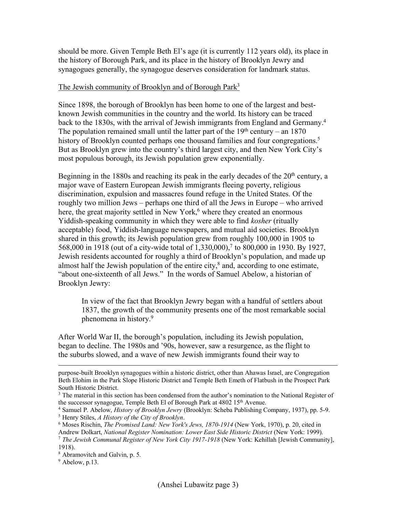should be more. Given Temple Beth El's age (it is currently 112 years old), its place in the history of Borough Park, and its place in the history of Brooklyn Jewry and synagogues generally, the synagogue deserves consideration for landmark status.

#### The Jewish community of Brooklyn and of Borough Park<sup>3</sup>

Since 1898, the borough of Brooklyn has been home to one of the largest and bestknown Jewish communities in the country and the world. Its history can be traced back to the 1830s, with the arrival of Jewish immigrants from England and Germany.<sup>4</sup> The population remained small until the latter part of the  $19<sup>th</sup>$  century – an  $1870$ history of Brooklyn counted perhaps one thousand families and four congregations.<sup>5</sup> But as Brooklyn grew into the country's third largest city, and then New York City's most populous borough, its Jewish population grew exponentially.

Beginning in the 1880s and reaching its peak in the early decades of the  $20<sup>th</sup>$  century, a major wave of Eastern European Jewish immigrants fleeing poverty, religious discrimination, expulsion and massacres found refuge in the United States. Of the roughly two million Jews – perhaps one third of all the Jews in Europe – who arrived here, the great majority settled in New York,<sup>6</sup> where they created an enormous Yiddish-speaking community in which they were able to find *kosher* (ritually acceptable) food, Yiddish-language newspapers, and mutual aid societies. Brooklyn shared in this growth; its Jewish population grew from roughly 100,000 in 1905 to 568,000 in 1918 (out of a city-wide total of 1,330,000),<sup>7</sup> to 800,000 in 1930. By 1927, Jewish residents accounted for roughly a third of Brooklyn's population, and made up almost half the Jewish population of the entire city, $\delta$  and, according to one estimate, "about one-sixteenth of all Jews." In the words of Samuel Abelow, a historian of Brooklyn Jewry:

In view of the fact that Brooklyn Jewry began with a handful of settlers about 1837, the growth of the community presents one of the most remarkable social phenomena in history.<sup>9</sup>

After World War II, the borough's population, including its Jewish population, began to decline. The 1980s and '90s, however, saw a resurgence, as the flight to the suburbs slowed, and a wave of new Jewish immigrants found their way to

purpose-built Brooklyn synagogues within a historic district, other than Ahawas Israel, are Congregation Beth Elohim in the Park Slope Historic District and Temple Beth Emeth of Flatbush in the Prospect Park South Historic District.

<sup>&</sup>lt;sup>3</sup> The material in this section has been condensed from the author's nomination to the National Register of the successor synagogue, Temple Beth El of Borough Park at 4802 15<sup>th</sup> Avenue.

<sup>4</sup> Samuel P. Abelow, *History of Brooklyn Jewry* (Brooklyn: Scheba Publishing Company, 1937), pp. 5-9. 5 Henry Stiles, *A History of the City of Brooklyn*.

<sup>6</sup> Moses Rischin, *The Promised Land: New York's Jews, 1870-1914* (New York, 1970), p. 20, cited in

Andrew Dolkart, *National Register Nomination: Lower East Side Historic District* (New York: 1999). <sup>7</sup> *The Jewish Communal Register of New York City 1917-1918* (New York: Kehillah [Jewish Community], 1918).

<sup>8</sup> Abramovitch and Galvin, p. 5.

 $9$  Abelow, p.13.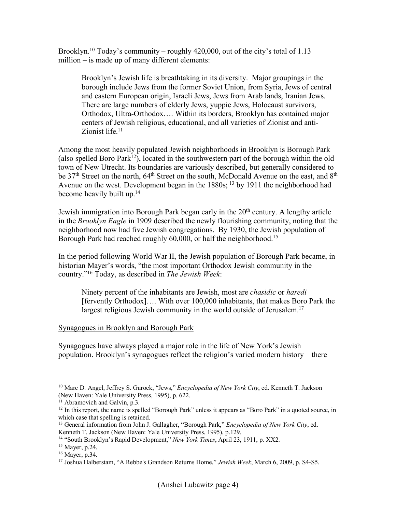Brooklyn.<sup>10</sup> Today's community – roughly  $420,000$ , out of the city's total of 1.13 million – is made up of many different elements:

Brooklyn's Jewish life is breathtaking in its diversity. Major groupings in the borough include Jews from the former Soviet Union, from Syria, Jews of central and eastern European origin, Israeli Jews, Jews from Arab lands, Iranian Jews. There are large numbers of elderly Jews, yuppie Jews, Holocaust survivors, Orthodox, Ultra-Orthodox…. Within its borders, Brooklyn has contained major centers of Jewish religious, educational, and all varieties of Zionist and anti-Zionist life.<sup>11</sup>

Among the most heavily populated Jewish neighborhoods in Brooklyn is Borough Park (also spelled Boro Park<sup>12</sup>), located in the southwestern part of the borough within the old town of New Utrecht. Its boundaries are variously described, but generally considered to be 37<sup>th</sup> Street on the north, 64<sup>th</sup> Street on the south, McDonald Avenue on the east, and 8<sup>th</sup> Avenue on the west. Development began in the 1880s; <sup>13</sup> by 1911 the neighborhood had become heavily built up.<sup>14</sup>

Jewish immigration into Borough Park began early in the 20<sup>th</sup> century. A lengthy article in the *Brooklyn Eagle* in 1909 described the newly flourishing community, noting that the neighborhood now had five Jewish congregations. By 1930, the Jewish population of Borough Park had reached roughly 60,000, or half the neighborhood.<sup>15</sup>

In the period following World War II, the Jewish population of Borough Park became, in historian Mayer's words, "the most important Orthodox Jewish community in the country."<sup>16</sup> Today, as described in *The Jewish Week*:

Ninety percent of the inhabitants are Jewish, most are *chasidic* or *haredi* [fervently Orthodox]…. With over 100,000 inhabitants, that makes Boro Park the largest religious Jewish community in the world outside of Jerusalem.<sup>17</sup>

#### Synagogues in Brooklyn and Borough Park

Synagogues have always played a major role in the life of New York's Jewish population. Brooklyn's synagogues reflect the religion's varied modern history – there

<sup>-</sup><sup>10</sup> Marc D. Angel, Jeffrey S. Gurock, "Jews," *Encyclopedia of New York City*, ed. Kenneth T. Jackson (New Haven: Yale University Press, 1995), p. 622.

 $11$  Abramovich and Galvin, p.3.

<sup>&</sup>lt;sup>12</sup> In this report, the name is spelled "Borough Park" unless it appears as "Boro Park" in a quoted source, in which case that spelling is retained.

<sup>13</sup> General information from John J. Gallagher, "Borough Park," *Encyclopedia of New York City*, ed. Kenneth T. Jackson (New Haven: Yale University Press, 1995), p.129.

<sup>14</sup> "South Brooklyn's Rapid Development," *New York Times*, April 23, 1911, p. XX2.

<sup>15</sup> Mayer, p.24.

<sup>16</sup> Mayer, p.34.

<sup>17</sup> Joshua Halberstam, "A Rebbe's Grandson Returns Home," *Jewish Week*, March 6, 2009, p. S4-S5.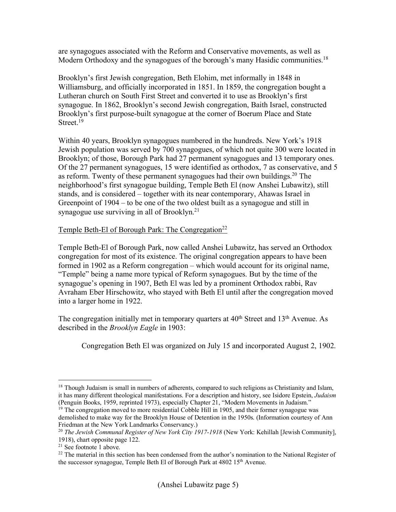are synagogues associated with the Reform and Conservative movements, as well as Modern Orthodoxy and the synagogues of the borough's many Hasidic communities.<sup>18</sup>

Brooklyn's first Jewish congregation, Beth Elohim, met informally in 1848 in Williamsburg, and officially incorporated in 1851. In 1859, the congregation bought a Lutheran church on South First Street and converted it to use as Brooklyn's first synagogue. In 1862, Brooklyn's second Jewish congregation, Baith Israel, constructed Brooklyn's first purpose-built synagogue at the corner of Boerum Place and State Street.<sup>19</sup>

Within 40 years, Brooklyn synagogues numbered in the hundreds. New York's 1918 Jewish population was served by 700 synagogues, of which not quite 300 were located in Brooklyn; of those, Borough Park had 27 permanent synagogues and 13 temporary ones. Of the 27 permanent synagogues, 15 were identified as orthodox, 7 as conservative, and 5 as reform. Twenty of these permanent synagogues had their own buildings.<sup>20</sup> The neighborhood's first synagogue building, Temple Beth El (now Anshei Lubawitz), still stands, and is considered – together with its near contemporary, Ahawas Israel in Greenpoint of 1904 – to be one of the two oldest built as a synagogue and still in synagogue use surviving in all of Brooklyn.<sup>21</sup>

#### Temple Beth-El of Borough Park: The Congregation<sup>22</sup>

Temple Beth-El of Borough Park, now called Anshei Lubawitz, has served an Orthodox congregation for most of its existence. The original congregation appears to have been formed in 1902 as a Reform congregation – which would account for its original name, "Temple" being a name more typical of Reform synagogues. But by the time of the synagogue's opening in 1907, Beth El was led by a prominent Orthodox rabbi, Rav Avraham Eber Hirschowitz, who stayed with Beth El until after the congregation moved into a larger home in 1922.

The congregation initially met in temporary quarters at  $40<sup>th</sup>$  Street and  $13<sup>th</sup>$  Avenue. As described in the *Brooklyn Eagle* in 1903:

Congregation Beth El was organized on July 15 and incorporated August 2, 1902.

<sup>&</sup>lt;sup>18</sup> Though Judaism is small in numbers of adherents, compared to such religions as Christianity and Islam, it has many different theological manifestations. For a description and history, see Isidore Epstein, *Judaism* (Penguin Books, 1959, reprinted 1973), especially Chapter 21, "Modern Movements in Judaism."

 $19$  The congregation moved to more residential Cobble Hill in 1905, and their former synagogue was demolished to make way for the Brooklyn House of Detention in the 1950s. (Information courtesy of Ann Friedman at the New York Landmarks Conservancy.)

<sup>&</sup>lt;sup>20</sup> The Jewish Communal Register of New York City 1917-1918 (New York: Kehillah [Jewish Community], 1918), chart opposite page 122.

<sup>21</sup> See footnote 1 above.

<sup>&</sup>lt;sup>22</sup> The material in this section has been condensed from the author's nomination to the National Register of the successor synagogue, Temple Beth El of Borough Park at 4802 15<sup>th</sup> Avenue.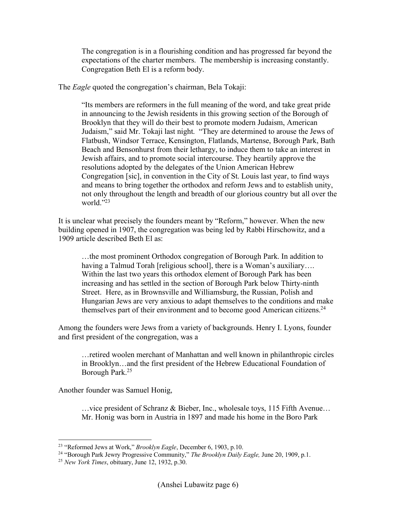The congregation is in a flourishing condition and has progressed far beyond the expectations of the charter members. The membership is increasing constantly. Congregation Beth El is a reform body.

The *Eagle* quoted the congregation's chairman, Bela Tokaji:

"Its members are reformers in the full meaning of the word, and take great pride in announcing to the Jewish residents in this growing section of the Borough of Brooklyn that they will do their best to promote modern Judaism, American Judaism," said Mr. Tokaji last night. "They are determined to arouse the Jews of Flatbush, Windsor Terrace, Kensington, Flatlands, Martense, Borough Park, Bath Beach and Bensonhurst from their lethargy, to induce them to take an interest in Jewish affairs, and to promote social intercourse. They heartily approve the resolutions adopted by the delegates of the Union American Hebrew Congregation [sic], in convention in the City of St. Louis last year, to find ways and means to bring together the orthodox and reform Jews and to establish unity, not only throughout the length and breadth of our glorious country but all over the world."<sup>23</sup>

It is unclear what precisely the founders meant by "Reform," however. When the new building opened in 1907, the congregation was being led by Rabbi Hirschowitz, and a 1909 article described Beth El as:

…the most prominent Orthodox congregation of Borough Park. In addition to having a Talmud Torah [religious school], there is a Woman's auxiliary.... Within the last two years this orthodox element of Borough Park has been increasing and has settled in the section of Borough Park below Thirty-ninth Street. Here, as in Brownsville and Williamsburg, the Russian, Polish and Hungarian Jews are very anxious to adapt themselves to the conditions and make themselves part of their environment and to become good American citizens.<sup>24</sup>

Among the founders were Jews from a variety of backgrounds. Henry I. Lyons, founder and first president of the congregation, was a

…retired woolen merchant of Manhattan and well known in philanthropic circles in Brooklyn…and the first president of the Hebrew Educational Foundation of Borough Park.<sup>25</sup>

Another founder was Samuel Honig,

…vice president of Schranz & Bieber, Inc., wholesale toys, 115 Fifth Avenue… Mr. Honig was born in Austria in 1897 and made his home in the Boro Park

<sup>&</sup>lt;u>.</u> <sup>23</sup> "Reformed Jews at Work," *Brooklyn Eagle*, December 6, 1903, p.10.

<sup>24</sup> "Borough Park Jewry Progressive Community," *The Brooklyn Daily Eagle,* June 20, 1909, p.1.

<sup>25</sup> *New York Times*, obituary, June 12, 1932, p.30.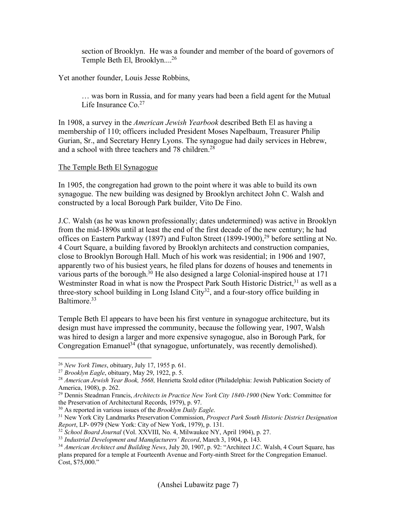section of Brooklyn. He was a founder and member of the board of governors of Temple Beth El, Brooklyn.... 26

Yet another founder, Louis Jesse Robbins,

… was born in Russia, and for many years had been a field agent for the Mutual Life Insurance Co.<sup>27</sup>

In 1908, a survey in the *American Jewish Yearbook* described Beth El as having a membership of 110; officers included President Moses Napelbaum, Treasurer Philip Gurian, Sr., and Secretary Henry Lyons. The synagogue had daily services in Hebrew, and a school with three teachers and 78 children.<sup>28</sup>

#### The Temple Beth El Synagogue

In 1905, the congregation had grown to the point where it was able to build its own synagogue. The new building was designed by Brooklyn architect John C. Walsh and constructed by a local Borough Park builder, Vito De Fino.

J.C. Walsh (as he was known professionally; dates undetermined) was active in Brooklyn from the mid-1890s until at least the end of the first decade of the new century; he had offices on Eastern Parkway (1897) and Fulton Street (1899-1900),<sup>29</sup> before settling at No. 4 Court Square, a building favored by Brooklyn architects and construction companies, close to Brooklyn Borough Hall. Much of his work was residential; in 1906 and 1907, apparently two of his busiest years, he filed plans for dozens of houses and tenements in various parts of the borough.<sup>30</sup> He also designed a large Colonial-inspired house at 171 Westminster Road in what is now the Prospect Park South Historic District,<sup>31</sup> as well as a three-story school building in Long Island City $32$ , and a four-story office building in Baltimore.<sup>33</sup>

Temple Beth El appears to have been his first venture in synagogue architecture, but its design must have impressed the community, because the following year, 1907, Walsh was hired to design a larger and more expensive synagogue, also in Borough Park, for Congregation Emanuel<sup>34</sup> (that synagogue, unfortunately, was recently demolished).

<sup>26</sup> *New York Times*, obituary, July 17, 1955 p. 61.

<sup>27</sup> *Brooklyn Eagle*, obituary, May 29, 1922, p. 5.

<sup>28</sup> *American Jewish Year Book, 5668,* Henrietta Szold editor (Philadelphia: Jewish Publication Society of America, 1908), p. 262.

<sup>29</sup> Dennis Steadman Francis, *Architects in Practice New York City 1840-1900* (New York: Committee for the Preservation of Architectural Records, 1979), p. 97.

<sup>30</sup> As reported in various issues of the *Brooklyn Daily Eagle*.

<sup>31</sup> New York City Landmarks Preservation Commission, *Prospect Park South Historic District Designation Report*, LP- 0979 (New York: City of New York, 1979), p. 131.

<sup>32</sup> *School Board Journal* (Vol. XXVIII, No. 4, Milwaukee NY, April 1904), p. 27.

<sup>33</sup> *Industrial Development and Manufacturers' Record*, March 3, 1904, p. 143.

<sup>34</sup> *American Architect and Building News*, July 20, 1907, p. 92: "Architect J.C. Walsh, 4 Court Square, has plans prepared for a temple at Fourteenth Avenue and Forty-ninth Street for the Congregation Emanuel. Cost, \$75,000."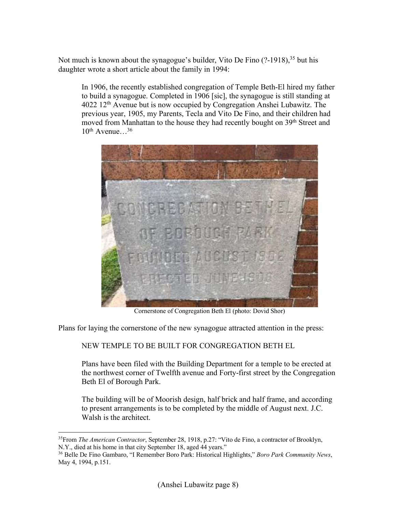Not much is known about the synagogue's builder, Vito De Fino (?-1918),<sup>35</sup> but his daughter wrote a short article about the family in 1994:

In 1906, the recently established congregation of Temple Beth-El hired my father to build a synagogue. Completed in 1906 [sic], the synagogue is still standing at 4022 12th Avenue but is now occupied by Congregation Anshei Lubawitz. The previous year, 1905, my Parents, Tecla and Vito De Fino, and their children had moved from Manhattan to the house they had recently bought on 39<sup>th</sup> Street and  $10^{th}$  Avenue…<sup>36</sup>



Cornerstone of Congregation Beth El (photo: Dovid Shor)

Plans for laying the cornerstone of the new synagogue attracted attention in the press:

NEW TEMPLE TO BE BUILT FOR CONGREGATION BETH EL

Plans have been filed with the Building Department for a temple to be erected at the northwest corner of Twelfth avenue and Forty-first street by the Congregation Beth El of Borough Park.

The building will be of Moorish design, half brick and half frame, and according to present arrangements is to be completed by the middle of August next. J.C. Walsh is the architect.

<sup>-</sup><sup>35</sup>From *The American Contractor*, September 28, 1918, p.27: "Vito de Fino, a contractor of Brooklyn, N.Y., died at his home in that city September 18, aged 44 years."

<sup>36</sup> Belle De Fino Gambaro, "I Remember Boro Park: Historical Highlights," *Boro Park Community News*, May 4, 1994, p.151.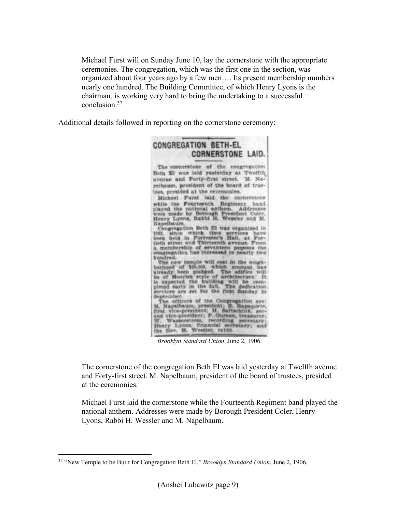Michael Furst will on Sunday June 10, lay the cornerstone with the appropriate ceremonies. The congregation, which was the first one in the section, was organized about four years ago by a few men…. Its present membership numbers nearly one hundred. The Building Committee, of which Henry Lyons is the chairman, is working very hard to bring the undertaking to a successful conclusion<sup>37</sup>

Additional details followed in reporting on the cornerstone ceremony:



*Brooklyn Standard Union*, June 2, 1906.

The cornerstone of the congregation Beth El was laid yesterday at Twelfth avenue and Forty-first street. M. Napelbaum, president of the board of trustees, presided at the ceremonies.

Michael Furst laid the cornerstone while the Fourteenth Regiment band played the national anthem. Addresses were made by Borough President Coler, Henry Lyons, Rabbi H. Wessler and M. Napelbaum.

<sup>-</sup>37 "New Temple to be Built for Congregation Beth El," *Brooklyn Standard Union*, June 2, 1906.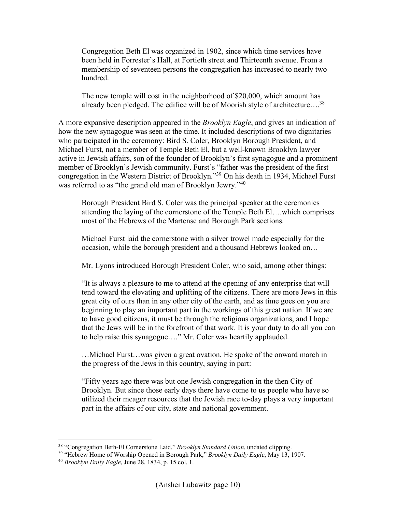Congregation Beth El was organized in 1902, since which time services have been held in Forrester's Hall, at Fortieth street and Thirteenth avenue. From a membership of seventeen persons the congregation has increased to nearly two hundred.

The new temple will cost in the neighborhood of \$20,000, which amount has already been pledged. The edifice will be of Moorish style of architecture….<sup>38</sup>

A more expansive description appeared in the *Brooklyn Eagle*, and gives an indication of how the new synagogue was seen at the time. It included descriptions of two dignitaries who participated in the ceremony: Bird S. Coler, Brooklyn Borough President, and Michael Furst, not a member of Temple Beth El, but a well-known Brooklyn lawyer active in Jewish affairs, son of the founder of Brooklyn's first synagogue and a prominent member of Brooklyn's Jewish community. Furst's "father was the president of the first congregation in the Western District of Brooklyn."<sup>39</sup> On his death in 1934, Michael Furst was referred to as "the grand old man of Brooklyn Jewry."<sup>40</sup>

Borough President Bird S. Coler was the principal speaker at the ceremonies attending the laying of the cornerstone of the Temple Beth El….which comprises most of the Hebrews of the Martense and Borough Park sections.

Michael Furst laid the cornerstone with a silver trowel made especially for the occasion, while the borough president and a thousand Hebrews looked on…

Mr. Lyons introduced Borough President Coler, who said, among other things:

"It is always a pleasure to me to attend at the opening of any enterprise that will tend toward the elevating and uplifting of the citizens. There are more Jews in this great city of ours than in any other city of the earth, and as time goes on you are beginning to play an important part in the workings of this great nation. If we are to have good citizens, it must be through the religious organizations, and I hope that the Jews will be in the forefront of that work. It is your duty to do all you can to help raise this synagogue…." Mr. Coler was heartily applauded.

…Michael Furst…was given a great ovation. He spoke of the onward march in the progress of the Jews in this country, saying in part:

"Fifty years ago there was but one Jewish congregation in the then City of Brooklyn. But since those early days there have come to us people who have so utilized their meager resources that the Jewish race to-day plays a very important part in the affairs of our city, state and national government.

<sup>&</sup>lt;u>.</u> <sup>38</sup> "Congregation Beth-El Cornerstone Laid," *Brooklyn Standard Union*, undated clipping.

<sup>39</sup> "Hebrew Home of Worship Opened in Borough Park," *Brooklyn Daily Eagle*, May 13, 1907.

<sup>40</sup> *Brooklyn Daily Eagle*, June 28, 1834, p. 15 col. 1.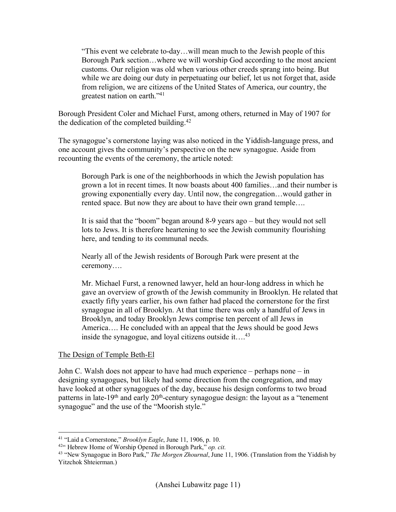"This event we celebrate to-day…will mean much to the Jewish people of this Borough Park section…where we will worship God according to the most ancient customs. Our religion was old when various other creeds sprang into being. But while we are doing our duty in perpetuating our belief, let us not forget that, aside from religion, we are citizens of the United States of America, our country, the greatest nation on earth."<sup>41</sup>

Borough President Coler and Michael Furst, among others, returned in May of 1907 for the dedication of the completed building.<sup>42</sup>

The synagogue's cornerstone laying was also noticed in the Yiddish-language press, and one account gives the community's perspective on the new synagogue. Aside from recounting the events of the ceremony, the article noted:

Borough Park is one of the neighborhoods in which the Jewish population has grown a lot in recent times. It now boasts about 400 families…and their number is growing exponentially every day. Until now, the congregation…would gather in rented space. But now they are about to have their own grand temple….

It is said that the "boom" began around 8-9 years ago – but they would not sell lots to Jews. It is therefore heartening to see the Jewish community flourishing here, and tending to its communal needs.

Nearly all of the Jewish residents of Borough Park were present at the ceremony….

Mr. Michael Furst, a renowned lawyer, held an hour-long address in which he gave an overview of growth of the Jewish community in Brooklyn. He related that exactly fifty years earlier, his own father had placed the cornerstone for the first synagogue in all of Brooklyn. At that time there was only a handful of Jews in Brooklyn, and today Brooklyn Jews comprise ten percent of all Jews in America…. He concluded with an appeal that the Jews should be good Jews inside the synagogue, and loyal citizens outside it....<sup>43</sup>

#### The Design of Temple Beth-El

-

John C. Walsh does not appear to have had much experience – perhaps none – in designing synagogues, but likely had some direction from the congregation, and may have looked at other synagogues of the day, because his design conforms to two broad patterns in late-19<sup>th</sup> and early 20<sup>th</sup>-century synagogue design: the layout as a "tenement synagogue" and the use of the "Moorish style."

<sup>41</sup> "Laid a Cornerstone," *Brooklyn Eagle*, June 11, 1906, p. 10.

<sup>42</sup>" Hebrew Home of Worship Opened in Borough Park," *op. cit.* 

<sup>43</sup> "New Synagogue in Boro Park," *The Morgen Zhournal*, June 11, 1906. (Translation from the Yiddish by Yitzchok Shteierman.)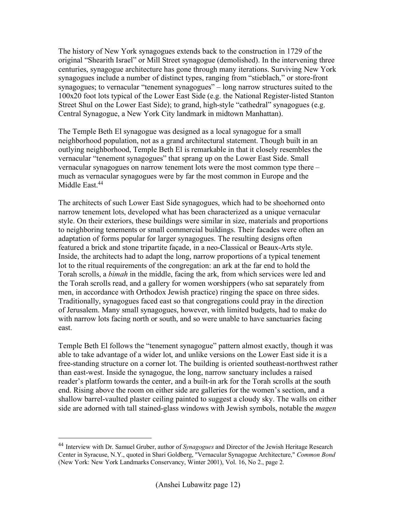The history of New York synagogues extends back to the construction in 1729 of the original "Shearith Israel" or Mill Street synagogue (demolished). In the intervening three centuries, synagogue architecture has gone through many iterations. Surviving New York synagogues include a number of distinct types, ranging from "stieblach," or store-front synagogues; to vernacular "tenement synagogues" – long narrow structures suited to the 100x20 foot lots typical of the Lower East Side (e.g. the National Register-listed Stanton Street Shul on the Lower East Side); to grand, high-style "cathedral" synagogues (e.g. Central Synagogue, a New York City landmark in midtown Manhattan).

The Temple Beth El synagogue was designed as a local synagogue for a small neighborhood population, not as a grand architectural statement. Though built in an outlying neighborhood, Temple Beth El is remarkable in that it closely resembles the vernacular "tenement synagogues" that sprang up on the Lower East Side. Small vernacular synagogues on narrow tenement lots were the most common type there – much as vernacular synagogues were by far the most common in Europe and the Middle East.<sup>44</sup>

The architects of such Lower East Side synagogues, which had to be shoehorned onto narrow tenement lots, developed what has been characterized as a unique vernacular style. On their exteriors, these buildings were similar in size, materials and proportions to neighboring tenements or small commercial buildings. Their facades were often an adaptation of forms popular for larger synagogues. The resulting designs often featured a brick and stone tripartite façade, in a neo-Classical or Beaux-Arts style. Inside, the architects had to adapt the long, narrow proportions of a typical tenement lot to the ritual requirements of the congregation: an ark at the far end to hold the Torah scrolls, a *bimah* in the middle, facing the ark, from which services were led and the Torah scrolls read, and a gallery for women worshippers (who sat separately from men, in accordance with Orthodox Jewish practice) ringing the space on three sides. Traditionally, synagogues faced east so that congregations could pray in the direction of Jerusalem. Many small synagogues, however, with limited budgets, had to make do with narrow lots facing north or south, and so were unable to have sanctuaries facing east.

Temple Beth El follows the "tenement synagogue" pattern almost exactly, though it was able to take advantage of a wider lot, and unlike versions on the Lower East side it is a free-standing structure on a corner lot. The building is oriented southeast-northwest rather than east-west. Inside the synagogue, the long, narrow sanctuary includes a raised reader's platform towards the center, and a built-in ark for the Torah scrolls at the south end. Rising above the room on either side are galleries for the women's section, and a shallow barrel-vaulted plaster ceiling painted to suggest a cloudy sky. The walls on either side are adorned with tall stained-glass windows with Jewish symbols, notable the *magen* 

<sup>44</sup> Interview with Dr. Samuel Gruber, author of *Synagogues* and Director of the Jewish Heritage Research Center in Syracuse, N.Y., quoted in Shari Goldberg, "Vernacular Synagogue Architecture," *Common Bond*  (New York: New York Landmarks Conservancy, Winter 2001), Vol. 16, No 2., page 2.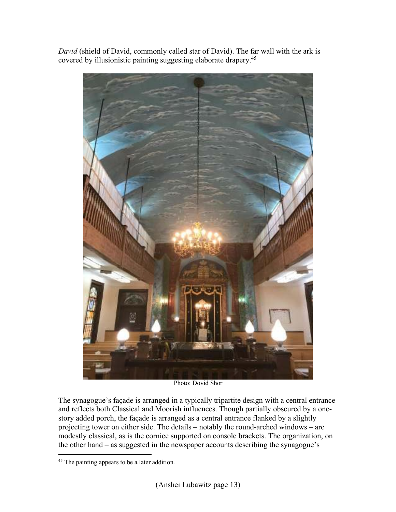*David* (shield of David, commonly called star of David). The far wall with the ark is covered by illusionistic painting suggesting elaborate drapery.<sup>45</sup>



Photo: Dovid Shor

The synagogue's façade is arranged in a typically tripartite design with a central entrance and reflects both Classical and Moorish influences. Though partially obscured by a onestory added porch, the façade is arranged as a central entrance flanked by a slightly projecting tower on either side. The details – notably the round-arched windows – are modestly classical, as is the cornice supported on console brackets. The organization, on the other hand – as suggested in the newspaper accounts describing the synagogue's

<sup>-</sup><sup>45</sup> The painting appears to be a later addition.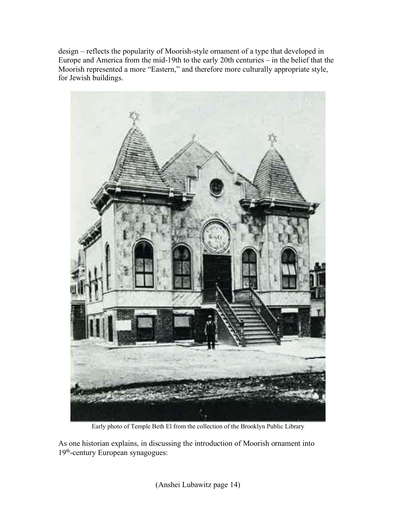design – reflects the popularity of Moorish-style ornament of a type that developed in Europe and America from the mid-19th to the early 20th centuries – in the belief that the Moorish represented a more "Eastern," and therefore more culturally appropriate style, for Jewish buildings.



Early photo of Temple Beth El from the collection of the Brooklyn Public Library

As one historian explains, in discussing the introduction of Moorish ornament into 19th-century European synagogues: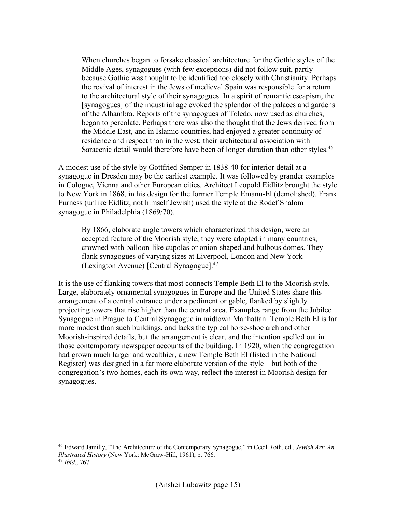When churches began to forsake classical architecture for the Gothic styles of the Middle Ages, synagogues (with few exceptions) did not follow suit, partly because Gothic was thought to be identified too closely with Christianity. Perhaps the revival of interest in the Jews of medieval Spain was responsible for a return to the architectural style of their synagogues. In a spirit of romantic escapism, the [synagogues] of the industrial age evoked the splendor of the palaces and gardens of the Alhambra. Reports of the synagogues of Toledo, now used as churches, began to percolate. Perhaps there was also the thought that the Jews derived from the Middle East, and in Islamic countries, had enjoyed a greater continuity of residence and respect than in the west; their architectural association with Saracenic detail would therefore have been of longer duration than other styles.<sup>46</sup>

A modest use of the style by Gottfried Semper in 1838-40 for interior detail at a synagogue in Dresden may be the earliest example. It was followed by grander examples in Cologne, Vienna and other European cities. Architect Leopold Eidlitz brought the style to New York in 1868, in his design for the former Temple Emanu-El (demolished). Frank Furness (unlike Eidlitz, not himself Jewish) used the style at the Rodef Shalom synagogue in Philadelphia (1869/70).

By 1866, elaborate angle towers which characterized this design, were an accepted feature of the Moorish style; they were adopted in many countries, crowned with balloon-like cupolas or onion-shaped and bulbous domes. They flank synagogues of varying sizes at Liverpool, London and New York (Lexington Avenue) [Central Synagogue].<sup>47</sup>

It is the use of flanking towers that most connects Temple Beth El to the Moorish style. Large, elaborately ornamental synagogues in Europe and the United States share this arrangement of a central entrance under a pediment or gable, flanked by slightly projecting towers that rise higher than the central area. Examples range from the Jubilee Synagogue in Prague to Central Synagogue in midtown Manhattan. Temple Beth El is far more modest than such buildings, and lacks the typical horse-shoe arch and other Moorish-inspired details, but the arrangement is clear, and the intention spelled out in those contemporary newspaper accounts of the building. In 1920, when the congregation had grown much larger and wealthier, a new Temple Beth El (listed in the National Register) was designed in a far more elaborate version of the style – but both of the congregation's two homes, each its own way, reflect the interest in Moorish design for synagogues.

<u>.</u>

<sup>46</sup> Edward Jamilly, "The Architecture of the Contemporary Synagogue," in Cecil Roth, ed., *Jewish Art: An Illustrated History* (New York: McGraw-Hill, 1961), p. 766. <sup>47</sup> *Ibid*., 767.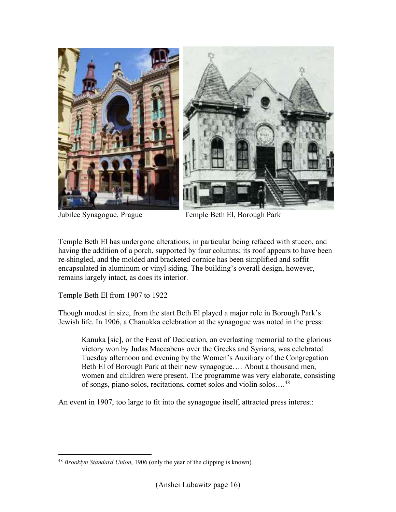

Jubilee Synagogue, Prague Temple Beth El, Borough Park

Temple Beth El has undergone alterations, in particular being refaced with stucco, and having the addition of a porch, supported by four columns; its roof appears to have been re-shingled, and the molded and bracketed cornice has been simplified and soffit encapsulated in aluminum or vinyl siding. The building's overall design, however, remains largely intact, as does its interior.

#### Temple Beth El from 1907 to 1922

Though modest in size, from the start Beth El played a major role in Borough Park's Jewish life. In 1906, a Chanukka celebration at the synagogue was noted in the press:

Kanuka [sic], or the Feast of Dedication, an everlasting memorial to the glorious victory won by Judas Maccabeus over the Greeks and Syrians, was celebrated Tuesday afternoon and evening by the Women's Auxiliary of the Congregation Beth El of Borough Park at their new synagogue…. About a thousand men, women and children were present. The programme was very elaborate, consisting of songs, piano solos, recitations, cornet solos and violin solos….<sup>48</sup>

An event in 1907, too large to fit into the synagogue itself, attracted press interest:

<sup>-</sup><sup>48</sup> *Brooklyn Standard Union*, 1906 (only the year of the clipping is known).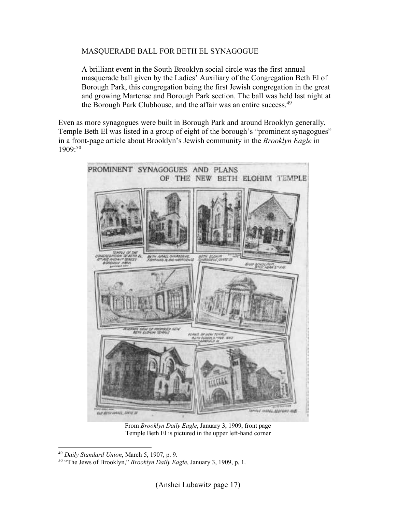#### MASQUERADE BALL FOR BETH EL SYNAGOGUE

A brilliant event in the South Brooklyn social circle was the first annual masquerade ball given by the Ladies' Auxiliary of the Congregation Beth El of Borough Park, this congregation being the first Jewish congregation in the great and growing Martense and Borough Park section. The ball was held last night at the Borough Park Clubhouse, and the affair was an entire success.<sup>49</sup>

Even as more synagogues were built in Borough Park and around Brooklyn generally, Temple Beth El was listed in a group of eight of the borough's "prominent synagogues" in a front-page article about Brooklyn's Jewish community in the *Brooklyn Eagle* in 1909:<sup>50</sup>



From *Brooklyn Daily Eagle*, January 3, 1909, front page Temple Beth El is pictured in the upper left-hand corner

<sup>-</sup><sup>49</sup> *Daily Standard Union*, March 5, 1907, p. 9.

<sup>50</sup> "The Jews of Brooklyn," *Brooklyn Daily Eagle*, January 3, 1909, p. 1.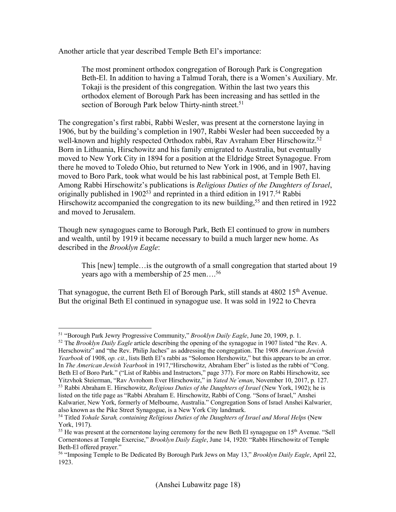Another article that year described Temple Beth El's importance:

The most prominent orthodox congregation of Borough Park is Congregation Beth-El. In addition to having a Talmud Torah, there is a Women's Auxiliary. Mr. Tokaji is the president of this congregation. Within the last two years this orthodox element of Borough Park has been increasing and has settled in the section of Borough Park below Thirty-ninth street.<sup>51</sup>

The congregation's first rabbi, Rabbi Wesler, was present at the cornerstone laying in 1906, but by the building's completion in 1907, Rabbi Wesler had been succeeded by a well-known and highly respected Orthodox rabbi, Rav Avraham Eber Hirschowitz.<sup>52</sup> Born in Lithuania, Hirschowitz and his family emigrated to Australia, but eventually moved to New York City in 1894 for a position at the Eldridge Street Synagogue. From there he moved to Toledo Ohio, but returned to New York in 1906, and in 1907, having moved to Boro Park, took what would be his last rabbinical post, at Temple Beth El. Among Rabbi Hirschowitz's publications is *Religious Duties of the Daughters of Israel*, originally published in  $1902^{53}$  and reprinted in a third edition in  $1917^{54}$  Rabbi Hirschowitz accompanied the congregation to its new building,<sup>55</sup> and then retired in 1922 and moved to Jerusalem.

Though new synagogues came to Borough Park, Beth El continued to grow in numbers and wealth, until by 1919 it became necessary to build a much larger new home. As described in the *Brooklyn Eagle*:

This [new] temple…is the outgrowth of a small congregation that started about 19 years ago with a membership of 25 men….<sup>56</sup>

That synagogue, the current Beth El of Borough Park, still stands at 4802 15<sup>th</sup> Avenue. But the original Beth El continued in synagogue use. It was sold in 1922 to Chevra

<sup>&</sup>lt;u>.</u> <sup>51</sup> "Borough Park Jewry Progressive Community," *Brooklyn Daily Eagle*, June 20, 1909, p. 1.

<sup>52</sup> The *Brooklyn Daily Eagle* article describing the opening of the synagogue in 1907 listed "the Rev. A. Herschowitz" and "the Rev. Philip Jaches" as addressing the congregation. The 1908 *American Jewish Yearbook* of 1908, *op. cit.*, lists Beth El's rabbi as "Solomon Hershowitz," but this appears to be an error. In *The American Jewish Yearbook* in 1917,"Hirschowitz, Abraham Eber" is listed as the rabbi of "Cong. Beth El of Boro Park." ("List of Rabbis and Instructors," page 377). For more on Rabbi Hirschowitz, see Yitzvhok Steierman, "Rav Avrohom Ever Hirschowitz," in *Yated Ne'eman*, November 10, 2017, p. 127. <sup>53</sup> Rabbi Abraham E. Hirschowitz, *Religious Duties of the Daughters of Israel* (New York, 1902); he is

listed on the title page as "Rabbi Abraham E. Hirschowitz, Rabbi of Cong. "Sons of Israel," Anshei Kalwarier, New York, formerly of Melbourne, Australia." Congregation Sons of Israel Anshei Kalwarier, also known as the Pike Street Synagogue, is a New York City landmark.

<sup>54</sup> Titled *Yohale Sarah, containing Religious Duties of the Daughters of Israel and Moral Helps* (New York, 1917).

<sup>&</sup>lt;sup>55</sup> He was present at the cornerstone laying ceremony for the new Beth El synagogue on  $15<sup>th</sup>$  Avenue. "Sell Cornerstones at Temple Exercise," *Brooklyn Daily Eagle*, June 14, 1920: "Rabbi Hirschowitz of Temple Beth-El offered prayer."

<sup>56</sup> "Imposing Temple to Be Dedicated By Borough Park Jews on May 13," *Brooklyn Daily Eagle*, April 22, 1923.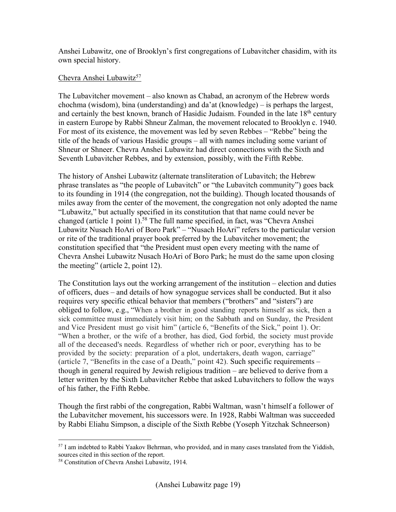Anshei Lubawitz, one of Brooklyn's first congregations of Lubavitcher chasidim, with its own special history.

#### Chevra Anshei Lubawitz<sup>57</sup>

The Lubavitcher movement – also known as Chabad, an acronym of the Hebrew words chochma (wisdom), bina (understanding) and da'at (knowledge) – is perhaps the largest, and certainly the best known, branch of Hasidic Judaism. Founded in the late  $18<sup>th</sup>$  century in eastern Europe by Rabbi Shneur Zalman, the movement relocated to Brooklyn c. 1940. For most of its existence, the movement was led by seven Rebbes – "Rebbe" being the title of the heads of various Hasidic groups – all with names including some variant of Shneur or Shneer. Chevra Anshei Lubawitz had direct connections with the Sixth and Seventh Lubavitcher Rebbes, and by extension, possibly, with the Fifth Rebbe.

The history of Anshei Lubawitz (alternate transliteration of Lubavitch; the Hebrew phrase translates as "the people of Lubavitch" or "the Lubavitch community") goes back to its founding in 1914 (the congregation, not the building). Though located thousands of miles away from the center of the movement, the congregation not only adopted the name "Lubawitz," but actually specified in its constitution that that name could never be changed (article 1 point 1).<sup>58</sup> The full name specified, in fact, was "Chevra Anshei Lubawitz Nusach HoAri of Boro Park" – "Nusach HoAri" refers to the particular version or rite of the traditional prayer book preferred by the Lubavitcher movement; the constitution specified that "the President must open every meeting with the name of Chevra Anshei Lubawitz Nusach HoAri of Boro Park; he must do the same upon closing the meeting" (article 2, point 12).

The Constitution lays out the working arrangement of the institution – election and duties of officers, dues – and details of how synagogue services shall be conducted. But it also requires very specific ethical behavior that members ("brothers" and "sisters") are obliged to follow, e.g., "When a brother in good standing reports himself as sick, then a sick committee must immediately visit him; on the Sabbath and on Sunday, the President and Vice President must go visit him" (article 6, "Benefits of the Sick," point 1). Or: "When a brother, or the wife of a brother, has died, God forbid, the society must provide all of the deceased's needs. Regardless of whether rich or poor, everything has to be provided by the society: preparation of a plot, undertakers, death wagon, carriage" (article 7, "Benefits in the case of a Death," point 42). Such specific requirements – though in general required by Jewish religious tradition – are believed to derive from a letter written by the Sixth Lubavitcher Rebbe that asked Lubavitchers to follow the ways of his father, the Fifth Rebbe.

Though the first rabbi of the congregation, Rabbi Waltman, wasn't himself a follower of the Lubavitcher movement, his successors were. In 1928, Rabbi Waltman was succeeded by Rabbi Eliahu Simpson, a disciple of the Sixth Rebbe (Yoseph Yitzchak Schneerson)

<sup>&</sup>lt;u>.</u> <sup>57</sup> I am indebted to Rabbi Yaakov Behrman, who provided, and in many cases translated from the Yiddish, sources cited in this section of the report.

<sup>58</sup> Constitution of Chevra Anshei Lubawitz, 1914.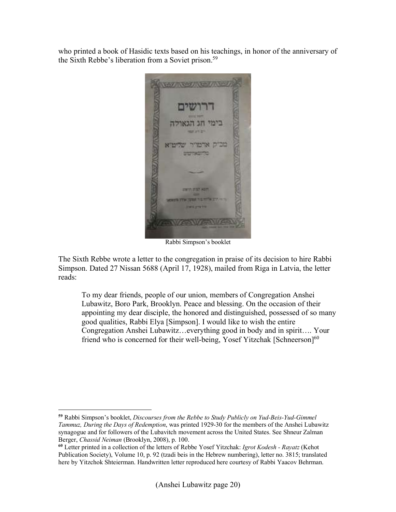who printed a book of Hasidic texts based on his teachings, in honor of the anniversary of the Sixth Rebbe's liberation from a Soviet prison.<sup>59</sup>



Rabbi Simpson's booklet

The Sixth Rebbe wrote a letter to the congregation in praise of its decision to hire Rabbi Simpson. Dated 27 Nissan 5688 (April 17, 1928), mailed from Riga in Latvia, the letter reads:

To my dear friends, people of our union, members of Congregation Anshei Lubawitz, Boro Park, Brooklyn. Peace and blessing. On the occasion of their appointing my dear disciple, the honored and distinguished, possessed of so many good qualities, Rabbi Elya [Simpson]. I would like to wish the entire Congregation Anshei Lubawitz…everything good in body and in spirit…. Your friend who is concerned for their well-being, Yosef Yitzchak [Schneerson]<sup>60</sup>

<u>.</u>

**<sup>59</sup>** Rabbi Simpson's booklet, *Discourses from the Rebbe to Study Publicly on Yud-Beis-Yud-Gimmel Tammuz, During the Days of Redemption*, was printed 1929-30 for the members of the Anshei Lubawitz synagogue and for followers of the Lubavitch movement across the United States. See Shneur Zalman Berger, *Chassid Neiman* (Brooklyn, 2008), p. 100.

**<sup>60</sup>** Letter printed in a collection of the letters of Rebbe Yosef Yitzchak: *Igrot Kodesh - Rayatz* (Kehot Publication Society), Volume 10, p. 92 (tzadi beis in the Hebrew numbering), letter no. 3815; translated here by Yitzchok Shteierman. Handwritten letter reproduced here courtesy of Rabbi Yaacov Behrman.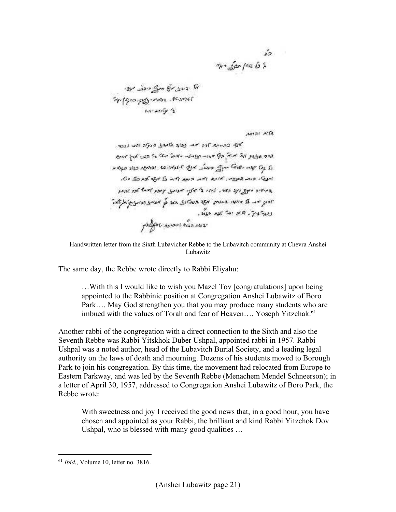יצו העתיק אל מתפי מבלט מוזמן.<br>המכונו של הבמימי פניקי בוקטן מדי<br>המכונו של המכונות

AMAI ALTA

Handwritten letter from the Sixth Lubavicher Rebbe to the Lubavitch community at Chevra Anshei Lubawitz

The same day, the Rebbe wrote directly to Rabbi Eliyahu:

…With this I would like to wish you Mazel Tov [congratulations] upon being appointed to the Rabbinic position at Congregation Anshei Lubawitz of Boro Park…. May God strengthen you that you may produce many students who are imbued with the values of Torah and fear of Heaven.... Yoseph Yitzchak.<sup>61</sup>

Another rabbi of the congregation with a direct connection to the Sixth and also the Seventh Rebbe was Rabbi Yitskhok Duber Ushpal, appointed rabbi in 1957. Rabbi Ushpal was a noted author, head of the Lubavitch Burial Society, and a leading legal authority on the laws of death and mourning. Dozens of his students moved to Borough Park to join his congregation. By this time, the movement had relocated from Europe to Eastern Parkway, and was led by the Seventh Rebbe (Menachem Mendel Schneerson); in a letter of April 30, 1957, addressed to Congregation Anshei Lubawitz of Boro Park, the Rebbe wrote:

With sweetness and joy I received the good news that, in a good hour, you have chosen and appointed as your Rabbi, the brilliant and kind Rabbi Yitzchok Dov Ushpal, who is blessed with many good qualities …

<sup>61</sup> *Ibid*., Volume 10, letter no. 3816.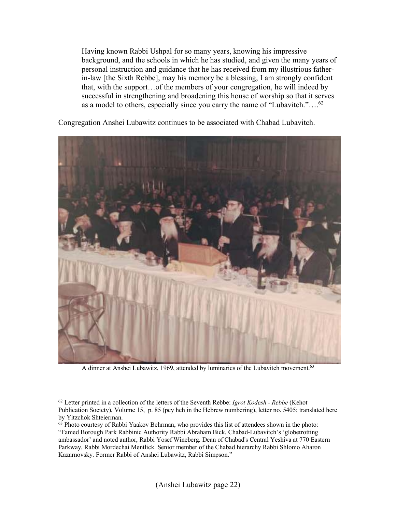Having known Rabbi Ushpal for so many years, knowing his impressive background, and the schools in which he has studied, and given the many years of personal instruction and guidance that he has received from my illustrious fatherin-law [the Sixth Rebbe], may his memory be a blessing, I am strongly confident that, with the support…of the members of your congregation, he will indeed by successful in strengthening and broadening this house of worship so that it serves as a model to others, especially since you carry the name of "Lubavitch."….<sup>62</sup>

Congregation Anshei Lubawitz continues to be associated with Chabad Lubavitch.



A dinner at Anshei Lubawitz, 1969, attended by luminaries of the Lubavitch movement.<sup>63</sup>

<sup>62</sup> Letter printed in a collection of the letters of the Seventh Rebbe: *Igrot Kodesh - Rebbe* (Kehot Publication Society), Volume 15, p. 85 (pey heh in the Hebrew numbering), letter no. 5405; translated here by Yitzchok Shteierman.

 $63$  Photo courtesy of Rabbi Yaakov Behrman, who provides this list of attendees shown in the photo: "Famed Borough Park Rabbinic Authority Rabbi Abraham Bick. Chabad-Lubavitch's 'globetrotting ambassador' and noted author, Rabbi Yosef Wineberg. Dean of Chabad's Central Yeshiva at 770 Eastern Parkway, Rabbi Mordechai Mentlick. Senior member of the Chabad hierarchy Rabbi Shlomo Aharon Kazarnovsky. Former Rabbi of Anshei Lubawitz, Rabbi Simpson."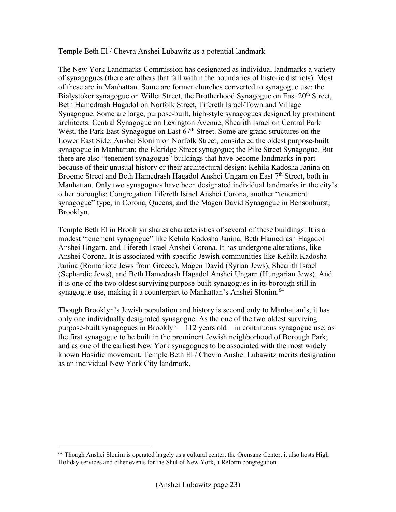#### Temple Beth El / Chevra Anshei Lubawitz as a potential landmark

The New York Landmarks Commission has designated as individual landmarks a variety of synagogues (there are others that fall within the boundaries of historic districts). Most of these are in Manhattan. Some are former churches converted to synagogue use: the Bialystoker synagogue on Willet Street, the Brotherhood Synagogue on East 20<sup>th</sup> Street, Beth Hamedrash Hagadol on Norfolk Street, Tifereth Israel/Town and Village Synagogue. Some are large, purpose-built, high-style synagogues designed by prominent architects: Central Synagogue on Lexington Avenue, Shearith Israel on Central Park West, the Park East Synagogue on East 67<sup>th</sup> Street. Some are grand structures on the Lower East Side: Anshei Slonim on Norfolk Street, considered the oldest purpose-built synagogue in Manhattan; the Eldridge Street synagogue; the Pike Street Synagogue. But there are also "tenement synagogue" buildings that have become landmarks in part because of their unusual history or their architectural design: Kehila Kadosha Janina on Broome Street and Beth Hamedrash Hagadol Anshei Ungarn on East 7<sup>th</sup> Street, both in Manhattan. Only two synagogues have been designated individual landmarks in the city's other boroughs: Congregation Tifereth Israel Anshei Corona, another "tenement synagogue" type, in Corona, Queens; and the Magen David Synagogue in Bensonhurst, Brooklyn.

Temple Beth El in Brooklyn shares characteristics of several of these buildings: It is a modest "tenement synagogue" like Kehila Kadosha Janina, Beth Hamedrash Hagadol Anshei Ungarn, and Tifereth Israel Anshei Corona. It has undergone alterations, like Anshei Corona. It is associated with specific Jewish communities like Kehila Kadosha Janina (Romaniote Jews from Greece), Magen David (Syrian Jews), Shearith Israel (Sephardic Jews), and Beth Hamedrash Hagadol Anshei Ungarn (Hungarian Jews). And it is one of the two oldest surviving purpose-built synagogues in its borough still in synagogue use, making it a counterpart to Manhattan's Anshei Slonim.<sup>64</sup>

Though Brooklyn's Jewish population and history is second only to Manhattan's, it has only one individually designated synagogue. As the one of the two oldest surviving purpose-built synagogues in Brooklyn – 112 years old – in continuous synagogue use; as the first synagogue to be built in the prominent Jewish neighborhood of Borough Park; and as one of the earliest New York synagogues to be associated with the most widely known Hasidic movement, Temple Beth El / Chevra Anshei Lubawitz merits designation as an individual New York City landmark.

<sup>-</sup><sup>64</sup> Though Anshei Slonim is operated largely as a cultural center, the Orensanz Center, it also hosts High Holiday services and other events for the Shul of New York, a Reform congregation.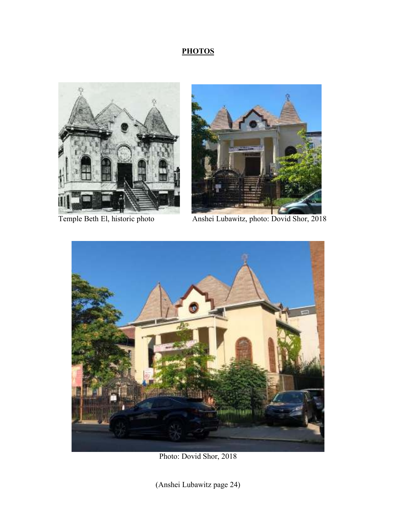### **PHOTOS**





Temple Beth El, historic photo Anshei Lubawitz, photo: Dovid Shor, 2018



Photo: Dovid Shor, 2018

(Anshei Lubawitz page 24)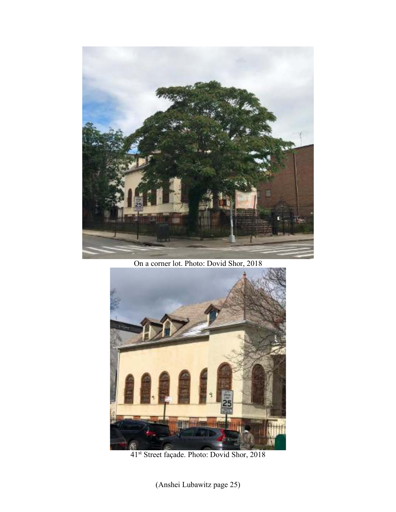

On a corner lot. Photo: Dovid Shor, 2018



41st Street façade. Photo: Dovid Shor, 2018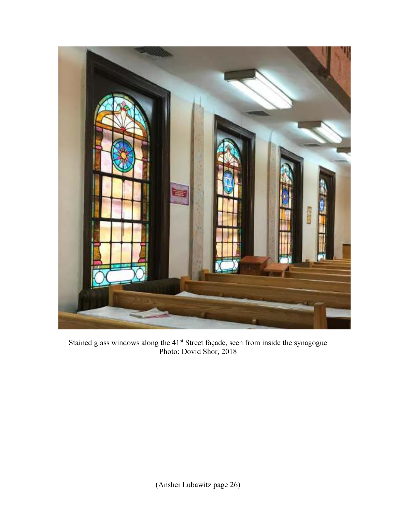

Stained glass windows along the 41<sup>st</sup> Street façade, seen from inside the synagogue Photo: Dovid Shor, 2018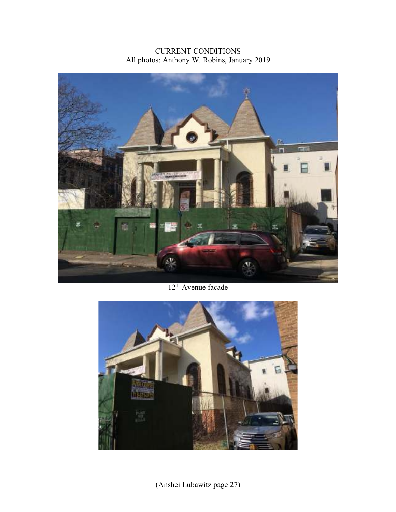CURRENT CONDITIONS All photos: Anthony W. Robins, January 2019



12<sup>th</sup> Avenue facade

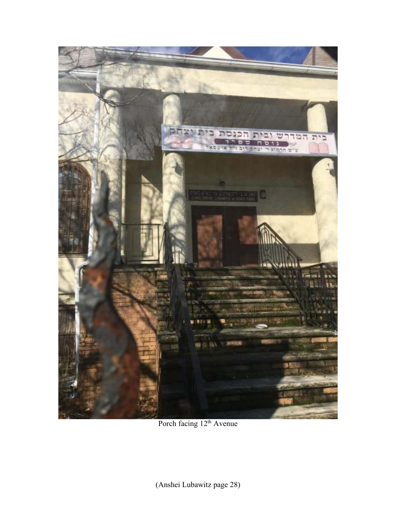

Porch facing  $12<sup>th</sup>$  Avenue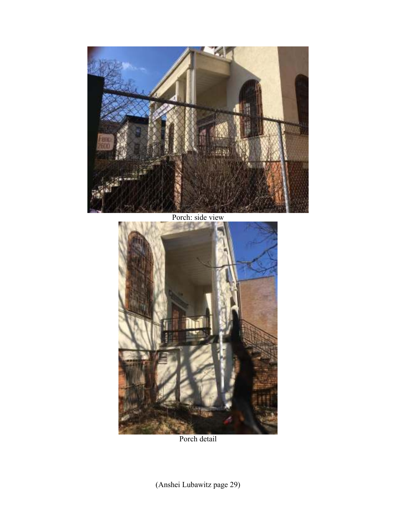

Porch: side view



Porch detail